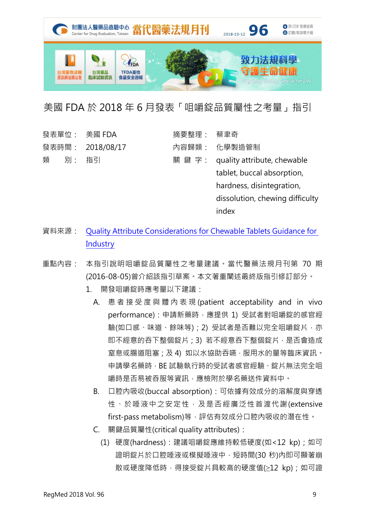

## 美國 FDA 於 2018 年 6 月發表「咀嚼錠品質屬性之考量」指引

|   |         | 發表單位: 美國 FDA     | 摘要整理: 蔡聿奇 |                                    |
|---|---------|------------------|-----------|------------------------------------|
|   |         | 發表時間: 2018/08/17 |           | 內容歸類: 化學製造管制                       |
| 類 | - 別: 指引 |                  |           | 關 鍵 字: quality attribute, chewable |
|   |         |                  |           | tablet, buccal absorption,         |
|   |         |                  |           | hardness, disintegration,          |
|   |         |                  |           | dissolution, chewing difficulty    |
|   |         |                  |           | index                              |

- 資料來源: Quality Attribute [Considerations for](https://www.fda.gov/downloads/Drugs/Guidances/UCM507098.pdf) Chewable Tablets Guidance for **[Industry](https://www.fda.gov/downloads/Drugs/Guidances/UCM507098.pdf)**
- 重點內容: 本指引說明咀嚼錠品質屬性之考量建議。當代醫藥法規月刊第 70 期 (2016-08-05)曾介紹該指引草案。本文著重闡述最終版指引修訂部分。
	- 1. 開發咀嚼錠時應考量以下建議:
		- A. 患 者 接 受 度 與 體 內 表 現 (patient acceptability and in vivo performance): 申請新藥時,應提供 1) 受試者對咀嚼錠的感官經 驗(如口感、味道、餘味等); 2) 受試者是否難以完全咀嚼錠片, 亦 即不經意的吞下整個錠片;3) 若不經意吞下整個錠片,是否會造成 窒息或腸道阻塞;及 4) 如以水協助吞嚥,服用水的量等臨床資訊。 申請學名藥時,BE 試驗執行時的受試者感官經驗、錠片無法完全咀 嚼時是否易被吞服等資訊,應檢附於學名藥送件資料中。
		- B. 口腔內吸收(buccal absorption):可依據有效成分的溶解度與穿透 性、於唾液中之安定性,及是否經廣泛性首渡代謝(extensive first-pass metabolism)等,評估有效成分口腔内吸收的潛在性。
		- C. 關鍵品質屬性(critical quality attributes):
			- (1) 硬度(hardness):建議咀嚼錠應維持較低硬度(如<12 kp);如可 證明錠片於口腔唾液或模擬唾液中,短時間(30秒)內即可顯著崩 散或硬度降低時, 得接受錠片具較高的硬度值(≥12 kp); 如可證